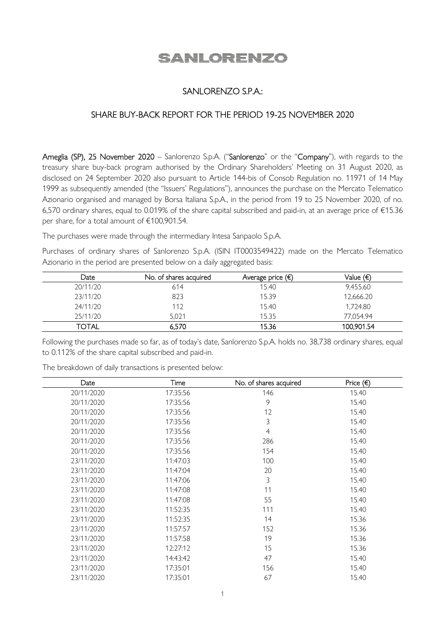# SANLORENZO

## SANLORENZO S.P.A.:

### SHARE BUY-BACK REPORT FOR THE PERIOD 19-25 NOVEMBER 2020

Ameglia (SP), 25 November 2020 – Sanlorenzo S.p.A. ("Sanlorenzo" or the "Company"), with regards to the treasury share buy-back program authorised by the Ordinary Shareholders' Meeting on 31 August 2020, as disclosed on 24 September 2020 also pursuant to Article 144-bis of Consob Regulation no. 11971 of 14 May 1999 as subsequently amended (the "Issuers' Regulations"), announces the purchase on the Mercato Telematico Azionario organised and managed by Borsa Italiana S.p.A., in the period from 19 to 25 November 2020, of no. 6,570 ordinary shares, equal to 0.019% of the share capital subscribed and paid-in, at an average price of €15.36 per share, for a total amount of €100,901.54.

The purchases were made through the intermediary Intesa Sanpaolo S.p.A.

Purchases of ordinary shares of Sanlorenzo S.p.A. (ISIN IT0003549422) made on the Mercato Telematico Azionario in the period are presented below on a daily aggregated basis:

| Date     | No. of shares acquired | Average price $(\epsilon)$ | Value (€)  |
|----------|------------------------|----------------------------|------------|
| 20/11/20 | 614                    | 15.40                      | 9.455.60   |
| 23/11/20 | 823                    | 15.39                      | 12,666.20  |
| 24/11/20 | 112                    | 15.40                      | 1,724.80   |
| 25/11/20 | 5.021                  | 15.35                      | 77,054.94  |
| TOTAL    | 6,570                  | 15.36                      | 100,901.54 |

Following the purchases made so far, as of today's date, Sanlorenzo S.p.A. holds no. 38,738 ordinary shares, equal to 0.112% of the share capital subscribed and paid-in.

The breakdown of daily transactions is presented below:

| Date       | Time     | No. of shares acquired | Price $(\epsilon)$ |
|------------|----------|------------------------|--------------------|
| 20/11/2020 | 17:35:56 | 146                    | 15.40              |
| 20/11/2020 | 17:35:56 | 9                      | 15.40              |
| 20/11/2020 | 17:35:56 | 12                     | 15.40              |
| 20/11/2020 | 17:35:56 | 3                      | 15.40              |
| 20/11/2020 | 17:35:56 | $\overline{4}$         | 15.40              |
| 20/11/2020 | 17:35:56 | 286                    | 15.40              |
| 20/11/2020 | 17:35:56 | 154                    | 15.40              |
| 23/11/2020 | 11:47:03 | 100                    | 15.40              |
| 23/11/2020 | 11:47:04 | 20                     | 15.40              |
| 23/11/2020 | 11:47:06 | 3                      | 15.40              |
| 23/11/2020 | 11:47:08 | 11                     | 15.40              |
| 23/11/2020 | 11:47:08 | 55                     | 15.40              |
| 23/11/2020 | 11:52:35 | 111                    | 15.40              |
| 23/11/2020 | 11:52:35 | 14                     | 15.36              |
| 23/11/2020 | 11:57:57 | 152                    | 15.36              |
| 23/11/2020 | 11:57:58 | 19                     | 15.36              |
| 23/11/2020 | 12:27:12 | 15                     | 15.36              |
| 23/11/2020 | 14:43:42 | 47                     | 15.40              |
| 23/11/2020 | 17:35:01 | 156                    | 15.40              |
| 23/11/2020 | 17:35:01 | 67                     | 15.40              |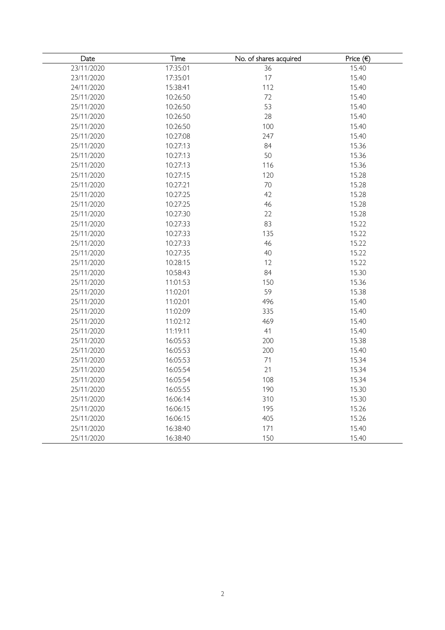| Date       | Time     | No. of shares acquired | Price $( \in )$ |
|------------|----------|------------------------|-----------------|
| 23/11/2020 | 17:35:01 | 36                     | 15.40           |
| 23/11/2020 | 17:35:01 | 17                     | 15.40           |
| 24/11/2020 | 15:38:41 | 112                    | 15.40           |
| 25/11/2020 | 10:26:50 | 72                     | 15.40           |
| 25/11/2020 | 10:26:50 | 53                     | 15.40           |
| 25/11/2020 | 10:26:50 | 28                     | 15.40           |
| 25/11/2020 | 10:26:50 | 100                    | 15.40           |
| 25/11/2020 | 10:27:08 | 247                    | 15.40           |
| 25/11/2020 | 10:27:13 | 84                     | 15.36           |
| 25/11/2020 | 10:27:13 | 50                     | 15.36           |
| 25/11/2020 | 10:27:13 | 116                    | 15.36           |
| 25/11/2020 | 10:27:15 | 120                    | 15.28           |
| 25/11/2020 | 10:27:21 | 70                     | 15.28           |
| 25/11/2020 | 10:27:25 | 42                     | 15.28           |
| 25/11/2020 | 10:27:25 | 46                     | 15.28           |
| 25/11/2020 | 10:27:30 | 22                     | 15.28           |
| 25/11/2020 | 10:27:33 | 83                     | 15.22           |
| 25/11/2020 | 10:27:33 | 135                    | 15.22           |
| 25/11/2020 | 10:27:33 | 46                     | 15.22           |
| 25/11/2020 | 10:27:35 | 40                     | 15.22           |
| 25/11/2020 | 10:28:15 | 12                     | 15.22           |
| 25/11/2020 | 10:58:43 | 84                     | 15.30           |
| 25/11/2020 | 11:01:53 | 150                    | 15.36           |
| 25/11/2020 | 11:02:01 | 59                     | 15.38           |
| 25/11/2020 | 11:02:01 | 496                    | 15.40           |
| 25/11/2020 | 11:02:09 | 335                    | 15.40           |
| 25/11/2020 | 11:02:12 | 469                    | 15.40           |
| 25/11/2020 | 11:19:11 | 41                     | 15.40           |
| 25/11/2020 | 16:05:53 | 200                    | 15.38           |
| 25/11/2020 | 16:05:53 | 200                    | 15.40           |
| 25/11/2020 | 16:05:53 | 71                     | 15.34           |
| 25/11/2020 | 16:05:54 | 21                     | 15.34           |
| 25/11/2020 | 16:05:54 | 108                    | 15.34           |
| 25/11/2020 | 16:05:55 | 190                    | 15.30           |
| 25/11/2020 | 16:06:14 | 310                    | 15.30           |
| 25/11/2020 | 16:06:15 | 195                    | 15.26           |
| 25/11/2020 | 16:06:15 | 405                    | 15.26           |
| 25/11/2020 | 16:38:40 | 171                    | 15.40           |
| 25/11/2020 | 16:38:40 | 150                    | 15.40           |